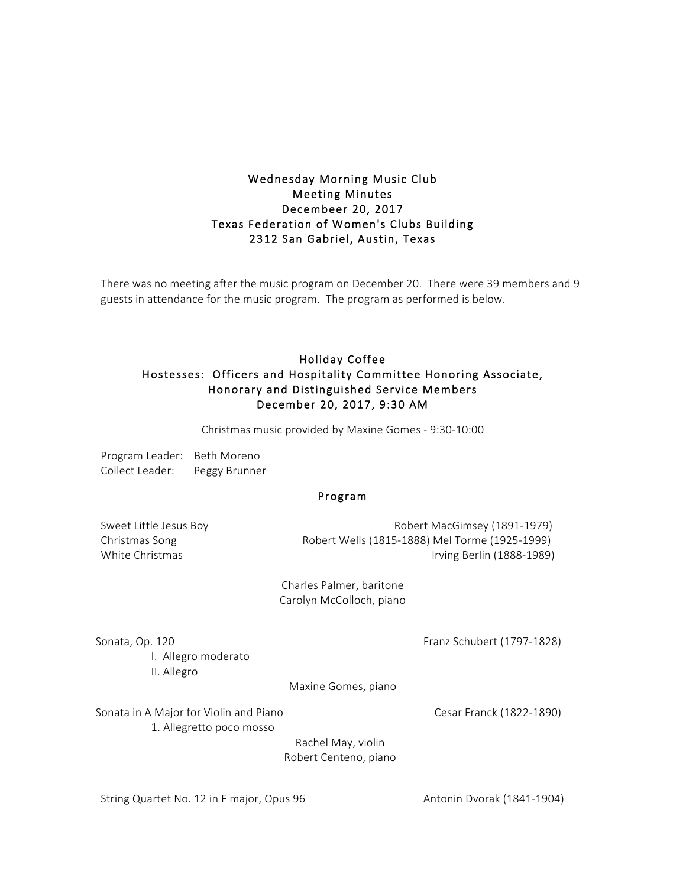## Wednesday Morning Music Club Meeting Minutes Decembeer 20, 2017 Texas Federation of Women's Clubs Building 2312 San Gabriel, Austin, Texas

There was no meeting after the music program on December 20. There were 39 members and 9 guests in attendance for the music program. The program as performed is below.

## Holiday Coffee Hostesses: Officers and Hospitality Committee Honoring Associate, Honorary and Distinguished Service Members December 20, 2017, 9:30 AM

Christmas music provided by Maxine Gomes - 9:30-10:00

| Program Leader: | Beth Moreno   |
|-----------------|---------------|
| Collect Leader: | Peggy Brunner |

## Program

Sweet Little Jesus Boy **Robert MacGimsey (1891-1979**) Christmas Song Robert Wells (1815-1888) Mel Torme (1925-1999) White Christmas **Irving Berlin** (1888-1989)

> Charles Palmer, baritone Carolyn McColloch, piano

Sonata, Op. 120 **Franz Schubert (1797-1828)** Franz Schubert (1797-1828)

I. Allegro moderato II. Allegro

Maxine Gomes, piano

Sonata in A Major for Violin and Piano Christian Muslem Cesar Franck (1822-1890) 1. Allegretto poco mosso

Rachel May, violin Robert Centeno, piano

String Quartet No. 12 in F major, Opus 96 Antonin Dvorak (1841-1904)